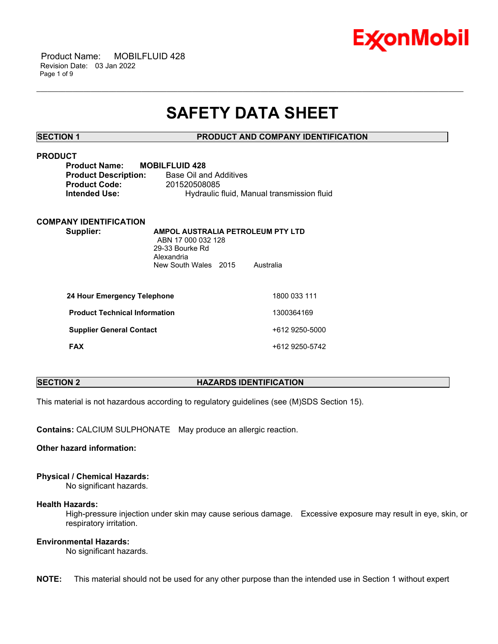

 Product Name: MOBILFLUID 428 Revision Date: 03 Jan 2022 Page 1 of 9

# **SAFETY DATA SHEET**

\_\_\_\_\_\_\_\_\_\_\_\_\_\_\_\_\_\_\_\_\_\_\_\_\_\_\_\_\_\_\_\_\_\_\_\_\_\_\_\_\_\_\_\_\_\_\_\_\_\_\_\_\_\_\_\_\_\_\_\_\_\_\_\_\_\_\_\_\_\_\_\_\_\_\_\_\_\_\_\_\_\_\_\_\_\_\_\_\_\_\_\_\_\_\_\_\_\_\_\_\_\_\_\_\_\_\_\_\_\_\_\_\_\_\_\_\_\_

# **SECTION 1 PRODUCT AND COMPANY IDENTIFICATION**

# **PRODUCT**

| <b>Product Name:</b>        | <b>MOBILFLUID 428</b>                      |
|-----------------------------|--------------------------------------------|
| <b>Product Description:</b> | Base Oil and Additives                     |
| <b>Product Code:</b>        | 201520508085                               |
| <b>Intended Use:</b>        | Hydraulic fluid, Manual transmission fluid |
|                             |                                            |

# **COMPANY IDENTIFICATION**

**Supplier: AMPOL AUSTRALIA PETROLEUM PTY LTD** ABN 17 000 032 128 29-33 Bourke Rd Alexandria New South Wales 2015 Australia

| 24 Hour Emergency Telephone          | 1800 033 111   |
|--------------------------------------|----------------|
| <b>Product Technical Information</b> | 1300364169     |
| <b>Supplier General Contact</b>      | +612 9250-5000 |
| <b>FAX</b>                           | +612 9250-5742 |

# **SECTION 2 HAZARDS IDENTIFICATION**

This material is not hazardous according to regulatory guidelines (see (M)SDS Section 15).

**Contains:** CALCIUM SULPHONATE May produce an allergic reaction.

**Other hazard information:**

# **Physical / Chemical Hazards:**

No significant hazards.

### **Health Hazards:**

High-pressure injection under skin may cause serious damage. Excessive exposure may result in eye, skin, or respiratory irritation.

# **Environmental Hazards:**

No significant hazards.

**NOTE:** This material should not be used for any other purpose than the intended use in Section 1 without expert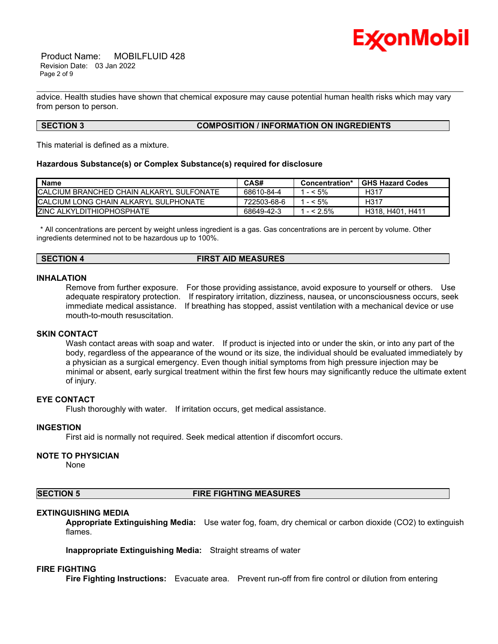

 Product Name: MOBILFLUID 428 Revision Date: 03 Jan 2022 Page 2 of 9

advice. Health studies have shown that chemical exposure may cause potential human health risks which may vary from person to person.

\_\_\_\_\_\_\_\_\_\_\_\_\_\_\_\_\_\_\_\_\_\_\_\_\_\_\_\_\_\_\_\_\_\_\_\_\_\_\_\_\_\_\_\_\_\_\_\_\_\_\_\_\_\_\_\_\_\_\_\_\_\_\_\_\_\_\_\_\_\_\_\_\_\_\_\_\_\_\_\_\_\_\_\_\_\_\_\_\_\_\_\_\_\_\_\_\_\_\_\_\_\_\_\_\_\_\_\_\_\_\_\_\_\_\_\_\_\_

# **SECTION 3 COMPOSITION / INFORMATION ON INGREDIENTS**

This material is defined as a mixture.

#### **Hazardous Substance(s) or Complex Substance(s) required for disclosure**

| <b>Name</b>                               | CAS#        | Concentration* | <b>GHS Hazard Codes</b> |
|-------------------------------------------|-------------|----------------|-------------------------|
| ICALCIUM BRANCHED CHAIN ALKARYL SULFONATE | 68610-84-4  | $- < 5\%$      | H317                    |
| ICALCIUM LONG CHAIN ALKARYL SULPHONATE    | 722503-68-6 | $- < 5\%$      | H317                    |
| <b>IZINC ALKYLDITHIOPHOSPHATE</b>         | 68649-42-3  | $1 - 2.5\%$    | H318, H401, H411        |

\* All concentrations are percent by weight unless ingredient is a gas. Gas concentrations are in percent by volume. Other ingredients determined not to be hazardous up to 100%.

# **SECTION 4 FIRST AID MEASURES**

# **INHALATION**

Remove from further exposure. For those providing assistance, avoid exposure to yourself or others. Use adequate respiratory protection. If respiratory irritation, dizziness, nausea, or unconsciousness occurs, seek immediate medical assistance. If breathing has stopped, assist ventilation with a mechanical device or use mouth-to-mouth resuscitation.

#### **SKIN CONTACT**

Wash contact areas with soap and water. If product is injected into or under the skin, or into any part of the body, regardless of the appearance of the wound or its size, the individual should be evaluated immediately by a physician as a surgical emergency. Even though initial symptoms from high pressure injection may be minimal or absent, early surgical treatment within the first few hours may significantly reduce the ultimate extent of injury.

# **EYE CONTACT**

Flush thoroughly with water. If irritation occurs, get medical assistance.

#### **INGESTION**

First aid is normally not required. Seek medical attention if discomfort occurs.

### **NOTE TO PHYSICIAN**

None

### **SECTION 5 FIRE FIGHTING MEASURES**

#### **EXTINGUISHING MEDIA**

**Appropriate Extinguishing Media:** Use water fog, foam, dry chemical or carbon dioxide (CO2) to extinguish flames.

**Inappropriate Extinguishing Media:** Straight streams of water

#### **FIRE FIGHTING**

**Fire Fighting Instructions:** Evacuate area. Prevent run-off from fire control or dilution from entering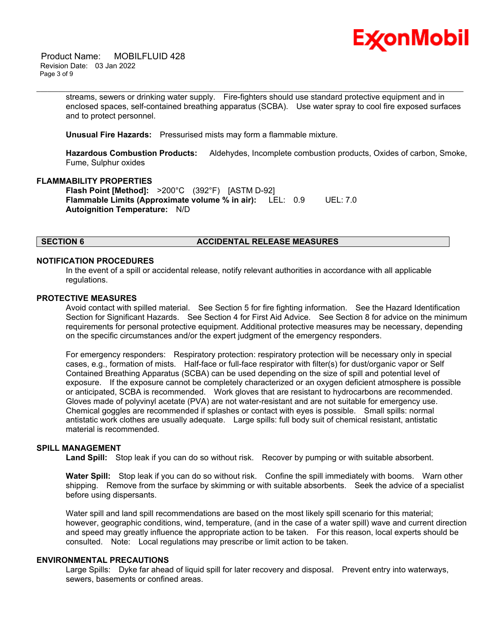

 Product Name: MOBILFLUID 428 Revision Date: 03 Jan 2022 Page 3 of 9

> streams, sewers or drinking water supply. Fire-fighters should use standard protective equipment and in enclosed spaces, self-contained breathing apparatus (SCBA). Use water spray to cool fire exposed surfaces and to protect personnel.

\_\_\_\_\_\_\_\_\_\_\_\_\_\_\_\_\_\_\_\_\_\_\_\_\_\_\_\_\_\_\_\_\_\_\_\_\_\_\_\_\_\_\_\_\_\_\_\_\_\_\_\_\_\_\_\_\_\_\_\_\_\_\_\_\_\_\_\_\_\_\_\_\_\_\_\_\_\_\_\_\_\_\_\_\_\_\_\_\_\_\_\_\_\_\_\_\_\_\_\_\_\_\_\_\_\_\_\_\_\_\_\_\_\_\_\_\_\_

**Unusual Fire Hazards:** Pressurised mists may form a flammable mixture.

**Hazardous Combustion Products:** Aldehydes, Incomplete combustion products, Oxides of carbon, Smoke, Fume, Sulphur oxides

#### **FLAMMABILITY PROPERTIES**

**Flash Point [Method]:** >200°C (392°F) [ASTM D-92] **Flammable Limits (Approximate volume % in air):** LEL: 0.9 UEL: 7.0 **Autoignition Temperature:** N/D

# **SECTION 6 ACCIDENTAL RELEASE MEASURES**

#### **NOTIFICATION PROCEDURES**

In the event of a spill or accidental release, notify relevant authorities in accordance with all applicable regulations.

#### **PROTECTIVE MEASURES**

Avoid contact with spilled material. See Section 5 for fire fighting information. See the Hazard Identification Section for Significant Hazards. See Section 4 for First Aid Advice. See Section 8 for advice on the minimum requirements for personal protective equipment. Additional protective measures may be necessary, depending on the specific circumstances and/or the expert judgment of the emergency responders.

For emergency responders: Respiratory protection: respiratory protection will be necessary only in special cases, e.g., formation of mists. Half-face or full-face respirator with filter(s) for dust/organic vapor or Self Contained Breathing Apparatus (SCBA) can be used depending on the size of spill and potential level of exposure. If the exposure cannot be completely characterized or an oxygen deficient atmosphere is possible or anticipated, SCBA is recommended. Work gloves that are resistant to hydrocarbons are recommended. Gloves made of polyvinyl acetate (PVA) are not water-resistant and are not suitable for emergency use. Chemical goggles are recommended if splashes or contact with eyes is possible. Small spills: normal antistatic work clothes are usually adequate. Large spills: full body suit of chemical resistant, antistatic material is recommended.

# **SPILL MANAGEMENT**

**Land Spill:** Stop leak if you can do so without risk. Recover by pumping or with suitable absorbent.

**Water Spill:** Stop leak if you can do so without risk. Confine the spill immediately with booms. Warn other shipping. Remove from the surface by skimming or with suitable absorbents. Seek the advice of a specialist before using dispersants.

Water spill and land spill recommendations are based on the most likely spill scenario for this material; however, geographic conditions, wind, temperature, (and in the case of a water spill) wave and current direction and speed may greatly influence the appropriate action to be taken. For this reason, local experts should be consulted. Note: Local regulations may prescribe or limit action to be taken.

#### **ENVIRONMENTAL PRECAUTIONS**

Large Spills: Dyke far ahead of liquid spill for later recovery and disposal. Prevent entry into waterways, sewers, basements or confined areas.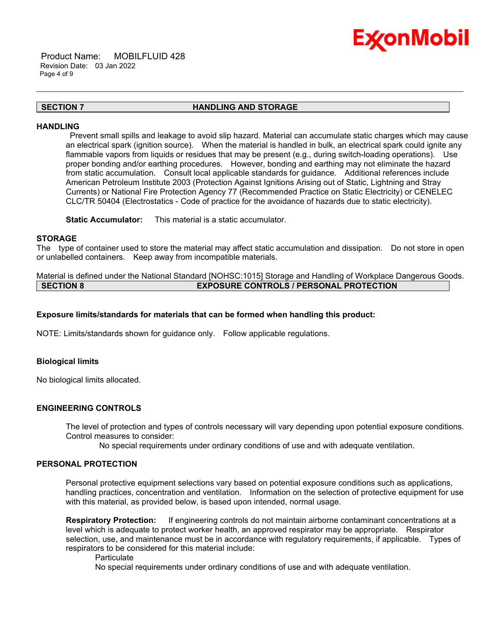

 Product Name: MOBILFLUID 428 Revision Date: 03 Jan 2022 Page 4 of 9

# **SECTION 7 HANDLING AND STORAGE**

\_\_\_\_\_\_\_\_\_\_\_\_\_\_\_\_\_\_\_\_\_\_\_\_\_\_\_\_\_\_\_\_\_\_\_\_\_\_\_\_\_\_\_\_\_\_\_\_\_\_\_\_\_\_\_\_\_\_\_\_\_\_\_\_\_\_\_\_\_\_\_\_\_\_\_\_\_\_\_\_\_\_\_\_\_\_\_\_\_\_\_\_\_\_\_\_\_\_\_\_\_\_\_\_\_\_\_\_\_\_\_\_\_\_\_\_\_\_

### **HANDLING**

Prevent small spills and leakage to avoid slip hazard. Material can accumulate static charges which may cause an electrical spark (ignition source). When the material is handled in bulk, an electrical spark could ignite any flammable vapors from liquids or residues that may be present (e.g., during switch-loading operations). Use proper bonding and/or earthing procedures. However, bonding and earthing may not eliminate the hazard from static accumulation. Consult local applicable standards for guidance. Additional references include American Petroleum Institute 2003 (Protection Against Ignitions Arising out of Static, Lightning and Stray Currents) or National Fire Protection Agency 77 (Recommended Practice on Static Electricity) or CENELEC CLC/TR 50404 (Electrostatics - Code of practice for the avoidance of hazards due to static electricity).

**Static Accumulator:** This material is a static accumulator.

#### **STORAGE**

The type of container used to store the material may affect static accumulation and dissipation. Do not store in open or unlabelled containers. Keep away from incompatible materials.

Material is defined under the National Standard [NOHSC:1015] Storage and Handling of Workplace Dangerous Goods. **SECTION 8 EXPOSURE CONTROLS / PERSONAL PROTECTION**

### **Exposure limits/standards for materials that can be formed when handling this product:**

NOTE: Limits/standards shown for guidance only. Follow applicable regulations.

#### **Biological limits**

No biological limits allocated.

# **ENGINEERING CONTROLS**

The level of protection and types of controls necessary will vary depending upon potential exposure conditions. Control measures to consider:

No special requirements under ordinary conditions of use and with adequate ventilation.

#### **PERSONAL PROTECTION**

Personal protective equipment selections vary based on potential exposure conditions such as applications, handling practices, concentration and ventilation. Information on the selection of protective equipment for use with this material, as provided below, is based upon intended, normal usage.

**Respiratory Protection:** If engineering controls do not maintain airborne contaminant concentrations at a level which is adequate to protect worker health, an approved respirator may be appropriate. Respirator selection, use, and maintenance must be in accordance with regulatory requirements, if applicable. Types of respirators to be considered for this material include:

**Particulate** 

No special requirements under ordinary conditions of use and with adequate ventilation.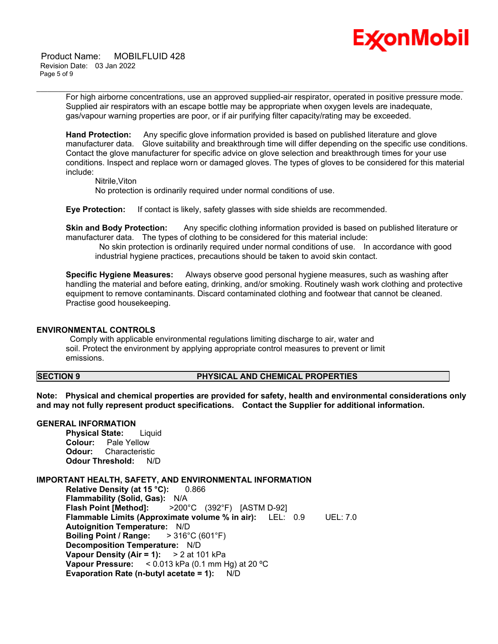

 Product Name: MOBILFLUID 428 Revision Date: 03 Jan 2022 Page 5 of 9

> For high airborne concentrations, use an approved supplied-air respirator, operated in positive pressure mode. Supplied air respirators with an escape bottle may be appropriate when oxygen levels are inadequate, gas/vapour warning properties are poor, or if air purifying filter capacity/rating may be exceeded.

\_\_\_\_\_\_\_\_\_\_\_\_\_\_\_\_\_\_\_\_\_\_\_\_\_\_\_\_\_\_\_\_\_\_\_\_\_\_\_\_\_\_\_\_\_\_\_\_\_\_\_\_\_\_\_\_\_\_\_\_\_\_\_\_\_\_\_\_\_\_\_\_\_\_\_\_\_\_\_\_\_\_\_\_\_\_\_\_\_\_\_\_\_\_\_\_\_\_\_\_\_\_\_\_\_\_\_\_\_\_\_\_\_\_\_\_\_\_

**Hand Protection:** Any specific glove information provided is based on published literature and glove manufacturer data. Glove suitability and breakthrough time will differ depending on the specific use conditions. Contact the glove manufacturer for specific advice on glove selection and breakthrough times for your use conditions. Inspect and replace worn or damaged gloves. The types of gloves to be considered for this material include:

Nitrile,Viton

No protection is ordinarily required under normal conditions of use.

**Eye Protection:** If contact is likely, safety glasses with side shields are recommended.

**Skin and Body Protection:** Any specific clothing information provided is based on published literature or manufacturer data. The types of clothing to be considered for this material include:

No skin protection is ordinarily required under normal conditions of use. In accordance with good industrial hygiene practices, precautions should be taken to avoid skin contact.

**Specific Hygiene Measures:** Always observe good personal hygiene measures, such as washing after handling the material and before eating, drinking, and/or smoking. Routinely wash work clothing and protective equipment to remove contaminants. Discard contaminated clothing and footwear that cannot be cleaned. Practise good housekeeping.

#### **ENVIRONMENTAL CONTROLS**

Comply with applicable environmental regulations limiting discharge to air, water and soil. Protect the environment by applying appropriate control measures to prevent or limit emissions.

# **SECTION 9 PHYSICAL AND CHEMICAL PROPERTIES**

**Note: Physical and chemical properties are provided for safety, health and environmental considerations only and may not fully represent product specifications. Contact the Supplier for additional information.**

### **GENERAL INFORMATION**

**Physical State:** Liquid **Colour:** Pale Yellow **Odour:** Characteristic **Odour Threshold:** N/D

#### **IMPORTANT HEALTH, SAFETY, AND ENVIRONMENTAL INFORMATION**

**Relative Density (at 15 °C):** 0.866 **Flammability (Solid, Gas):** N/A **Flash Point [Method]:** >200°C (392°F) [ASTM D-92] **Flammable Limits (Approximate volume % in air):** LEL: 0.9 UEL: 7.0 **Autoignition Temperature:** N/D **Boiling Point / Range:** > 316°C (601°F) **Decomposition Temperature:** N/D **Vapour Density (Air = 1):** > 2 at 101 kPa **Vapour Pressure:** < 0.013 kPa (0.1 mm Hg) at 20 ºC **Evaporation Rate (n-butyl acetate = 1):** N/D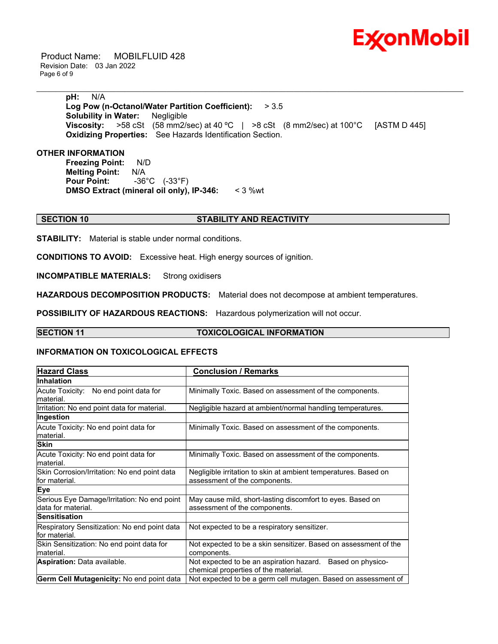

 Product Name: MOBILFLUID 428 Revision Date: 03 Jan 2022 Page 6 of 9

> **pH:** N/A **Log Pow (n-Octanol/Water Partition Coefficient):** > 3.5 **Solubility in Water:** Negligible **Viscosity:** >58 cSt (58 mm2/sec) at 40 °C | >8 cSt (8 mm2/sec) at 100 °C [ASTM D 445] **Oxidizing Properties:** See Hazards Identification Section.

\_\_\_\_\_\_\_\_\_\_\_\_\_\_\_\_\_\_\_\_\_\_\_\_\_\_\_\_\_\_\_\_\_\_\_\_\_\_\_\_\_\_\_\_\_\_\_\_\_\_\_\_\_\_\_\_\_\_\_\_\_\_\_\_\_\_\_\_\_\_\_\_\_\_\_\_\_\_\_\_\_\_\_\_\_\_\_\_\_\_\_\_\_\_\_\_\_\_\_\_\_\_\_\_\_\_\_\_\_\_\_\_\_\_\_\_\_\_

# **OTHER INFORMATION**

**Freezing Point:** N/D **Melting Point:** N/A **Pour Point:** -36°C (-33°F) **DMSO Extract (mineral oil only), IP-346:** < 3 %wt

# **SECTION 10 STABILITY AND REACTIVITY**

**STABILITY:** Material is stable under normal conditions.

**CONDITIONS TO AVOID:** Excessive heat. High energy sources of ignition.

**INCOMPATIBLE MATERIALS:** Strong oxidisers

**HAZARDOUS DECOMPOSITION PRODUCTS:** Material does not decompose at ambient temperatures.

**POSSIBILITY OF HAZARDOUS REACTIONS:** Hazardous polymerization will not occur.

# **SECTION 11 TOXICOLOGICAL INFORMATION**

### **INFORMATION ON TOXICOLOGICAL EFFECTS**

| <b>Hazard Class</b>                                               | <b>Conclusion / Remarks</b>                                                                           |
|-------------------------------------------------------------------|-------------------------------------------------------------------------------------------------------|
| <b>Inhalation</b>                                                 |                                                                                                       |
| Acute Toxicity: No end point data for<br>lmaterial.               | Minimally Toxic. Based on assessment of the components.                                               |
| Irritation: No end point data for material.                       | Negligible hazard at ambient/normal handling temperatures.                                            |
| Ingestion                                                         |                                                                                                       |
| Acute Toxicity: No end point data for<br>lmaterial.               | Minimally Toxic. Based on assessment of the components.                                               |
| Skin                                                              |                                                                                                       |
| Acute Toxicity: No end point data for<br>lmaterial.               | Minimally Toxic. Based on assessment of the components.                                               |
| Skin Corrosion/Irritation: No end point data<br>lfor material.    | Negligible irritation to skin at ambient temperatures. Based on<br>assessment of the components.      |
| <b>Eye</b>                                                        |                                                                                                       |
| Serious Eye Damage/Irritation: No end point<br>data for material. | May cause mild, short-lasting discomfort to eyes. Based on<br>assessment of the components.           |
| <b>Sensitisation</b>                                              |                                                                                                       |
| Respiratory Sensitization: No end point data<br>lfor material.    | Not expected to be a respiratory sensitizer.                                                          |
| Skin Sensitization: No end point data for<br>material.            | Not expected to be a skin sensitizer. Based on assessment of the<br>components.                       |
| <b>Aspiration: Data available.</b>                                | Not expected to be an aspiration hazard.<br>Based on physico-<br>chemical properties of the material. |
| <b>Germ Cell Mutagenicity: No end point data</b>                  | Not expected to be a germ cell mutagen. Based on assessment of                                        |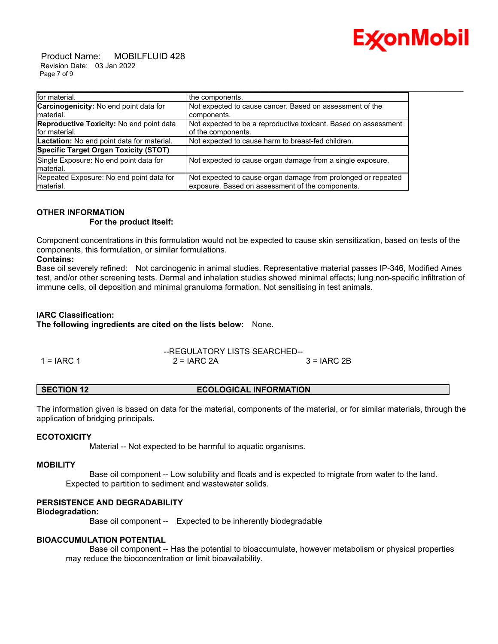

 Product Name: MOBILFLUID 428 Revision Date: 03 Jan 2022 Page 7 of 9

| for material.                              | the components.                                                 |
|--------------------------------------------|-----------------------------------------------------------------|
| Carcinogenicity: No end point data for     | Not expected to cause cancer. Based on assessment of the        |
| material.                                  | components.                                                     |
| Reproductive Toxicity: No end point data   | Not expected to be a reproductive toxicant. Based on assessment |
| for material.                              | of the components.                                              |
| Lactation: No end point data for material. | Not expected to cause harm to breast-fed children.              |
| Specific Target Organ Toxicity (STOT)      |                                                                 |
| Single Exposure: No end point data for     | Not expected to cause organ damage from a single exposure.      |
| material.                                  |                                                                 |
| Repeated Exposure: No end point data for   | Not expected to cause organ damage from prolonged or repeated   |
| material.                                  | exposure. Based on assessment of the components.                |

# **OTHER INFORMATION**

#### **For the product itself:**

Component concentrations in this formulation would not be expected to cause skin sensitization, based on tests of the components, this formulation, or similar formulations.

### **Contains:**

Base oil severely refined: Not carcinogenic in animal studies. Representative material passes IP-346, Modified Ames test, and/or other screening tests. Dermal and inhalation studies showed minimal effects; lung non-specific infiltration of immune cells, oil deposition and minimal granuloma formation. Not sensitising in test animals.

# **IARC Classification:**

**The following ingredients are cited on the lists below:** None.

|              |               | --REGULATORY LISTS SEARCHED-- |  |
|--------------|---------------|-------------------------------|--|
| 1 = $IARC 1$ | $2 = IARC 2A$ | $3 = IARC 2B$                 |  |

# **SECTION 12 ECOLOGICAL INFORMATION**

The information given is based on data for the material, components of the material, or for similar materials, through the application of bridging principals.

# **ECOTOXICITY**

Material -- Not expected to be harmful to aquatic organisms.

# **MOBILITY**

 Base oil component -- Low solubility and floats and is expected to migrate from water to the land. Expected to partition to sediment and wastewater solids.

# **PERSISTENCE AND DEGRADABILITY**

### **Biodegradation:**

Base oil component -- Expected to be inherently biodegradable

# **BIOACCUMULATION POTENTIAL**

 Base oil component -- Has the potential to bioaccumulate, however metabolism or physical properties may reduce the bioconcentration or limit bioavailability.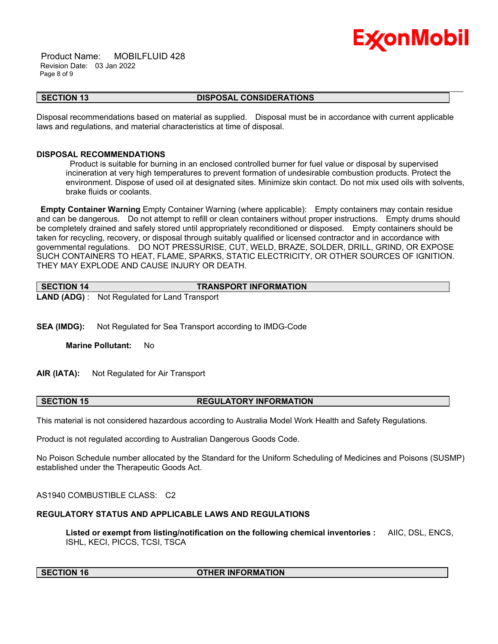

 Product Name: MOBILFLUID 428 Revision Date: 03 Jan 2022 Page 8 of 9

## **SECTION 13 DISPOSAL CONSIDERATIONS**

\_\_\_\_\_\_\_\_\_\_\_\_\_\_\_\_\_\_\_\_\_\_\_\_\_\_\_\_\_\_\_\_\_\_\_\_\_\_\_\_\_\_\_\_\_\_\_\_\_\_\_\_\_\_\_\_\_\_\_\_\_\_\_\_\_\_\_\_\_\_\_\_\_\_\_\_\_\_\_\_\_\_\_\_\_\_\_\_\_\_\_\_\_\_\_\_\_\_\_\_\_\_\_\_\_\_\_\_\_\_\_\_\_\_\_\_\_\_

Disposal recommendations based on material as supplied. Disposal must be in accordance with current applicable laws and regulations, and material characteristics at time of disposal.

### **DISPOSAL RECOMMENDATIONS**

Product is suitable for burning in an enclosed controlled burner for fuel value or disposal by supervised incineration at very high temperatures to prevent formation of undesirable combustion products. Protect the environment. Dispose of used oil at designated sites. Minimize skin contact. Do not mix used oils with solvents, brake fluids or coolants.

**Empty Container Warning** Empty Container Warning (where applicable): Empty containers may contain residue and can be dangerous. Do not attempt to refill or clean containers without proper instructions. Empty drums should be completely drained and safely stored until appropriately reconditioned or disposed. Empty containers should be taken for recycling, recovery, or disposal through suitably qualified or licensed contractor and in accordance with governmental regulations. DO NOT PRESSURISE, CUT, WELD, BRAZE, SOLDER, DRILL, GRIND, OR EXPOSE SUCH CONTAINERS TO HEAT, FLAME, SPARKS, STATIC ELECTRICITY, OR OTHER SOURCES OF IGNITION. THEY MAY EXPLODE AND CAUSE INJURY OR DEATH.

| SECTION 14 | <b>TRANSPORT INFORMATION</b>                         |
|------------|------------------------------------------------------|
|            | <b>LAND (ADG)</b> : Not Regulated for Land Transport |

**SEA (IMDG):** Not Regulated for Sea Transport according to IMDG-Code

**Marine Pollutant:** No

**AIR (IATA):** Not Regulated for Air Transport

**SECTION 15 REGULATORY INFORMATION**

This material is not considered hazardous according to Australia Model Work Health and Safety Regulations.

Product is not regulated according to Australian Dangerous Goods Code.

No Poison Schedule number allocated by the Standard for the Uniform Scheduling of Medicines and Poisons (SUSMP) established under the Therapeutic Goods Act.

AS1940 COMBUSTIBLE CLASS: C2

# **REGULATORY STATUS AND APPLICABLE LAWS AND REGULATIONS**

**Listed or exempt from listing/notification on the following chemical inventories :** AIIC, DSL, ENCS, ISHL, KECI, PICCS, TCSI, TSCA

#### **SECTION 16 OTHER INFORMATION**